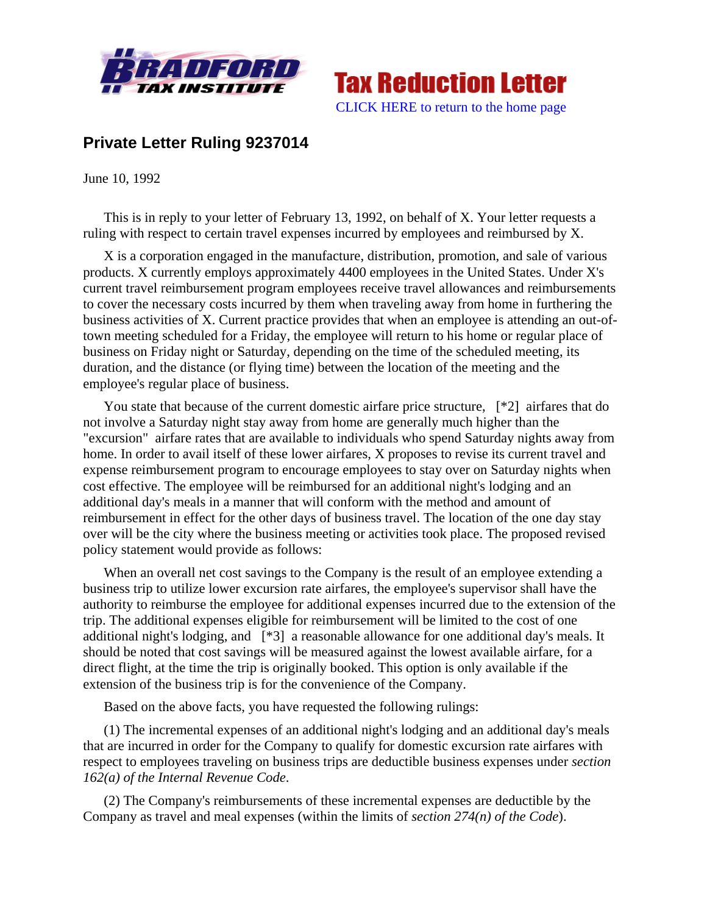



## **Private Letter Ruling 9237014**

June 10, 1992

This is in reply to your letter of February 13, 1992, on behalf of X. Your letter requests a ruling with respect to certain travel expenses incurred by employees and reimbursed by X.

X is a corporation engaged in the manufacture, distribution, promotion, and sale of various products. X currently employs approximately 4400 employees in the United States. Under X's current travel reimbursement program employees receive travel allowances and reimbursements to cover the necessary costs incurred by them when traveling away from home in furthering the business activities of X. Current practice provides that when an employee is attending an out-oftown meeting scheduled for a Friday, the employee will return to his home or regular place of business on Friday night or Saturday, depending on the time of the scheduled meeting, its duration, and the distance (or flying time) between the location of the meeting and the employee's regular place of business.

You state that because of the current domestic airfare price structure,  $[*2]$  airfares that do not involve a Saturday night stay away from home are generally much higher than the "excursion" airfare rates that are available to individuals who spend Saturday nights away from home. In order to avail itself of these lower airfares, X proposes to revise its current travel and expense reimbursement program to encourage employees to stay over on Saturday nights when cost effective. The employee will be reimbursed for an additional night's lodging and an additional day's meals in a manner that will conform with the method and amount of reimbursement in effect for the other days of business travel. The location of the one day stay over will be the city where the business meeting or activities took place. The proposed revised policy statement would provide as follows:

When an overall net cost savings to the Company is the result of an employee extending a business trip to utilize lower excursion rate airfares, the employee's supervisor shall have the authority to reimburse the employee for additional expenses incurred due to the extension of the trip. The additional expenses eligible for reimbursement will be limited to the cost of one additional night's lodging, and [\*3] a reasonable allowance for one additional day's meals. It should be noted that cost savings will be measured against the lowest available airfare, for a direct flight, at the time the trip is originally booked. This option is only available if the extension of the business trip is for the convenience of the Company.

Based on the above facts, you have requested the following rulings:

(1) The incremental expenses of an additional night's lodging and an additional day's meals that are incurred in order for the Company to qualify for domestic excursion rate airfares with respect to employees traveling on business trips are deductible business expenses under *section 162(a) of the Internal Revenue Code*.

(2) The Company's reimbursements of these incremental expenses are deductible by the Company as travel and meal expenses (within the limits of *section 274(n) of the Code*).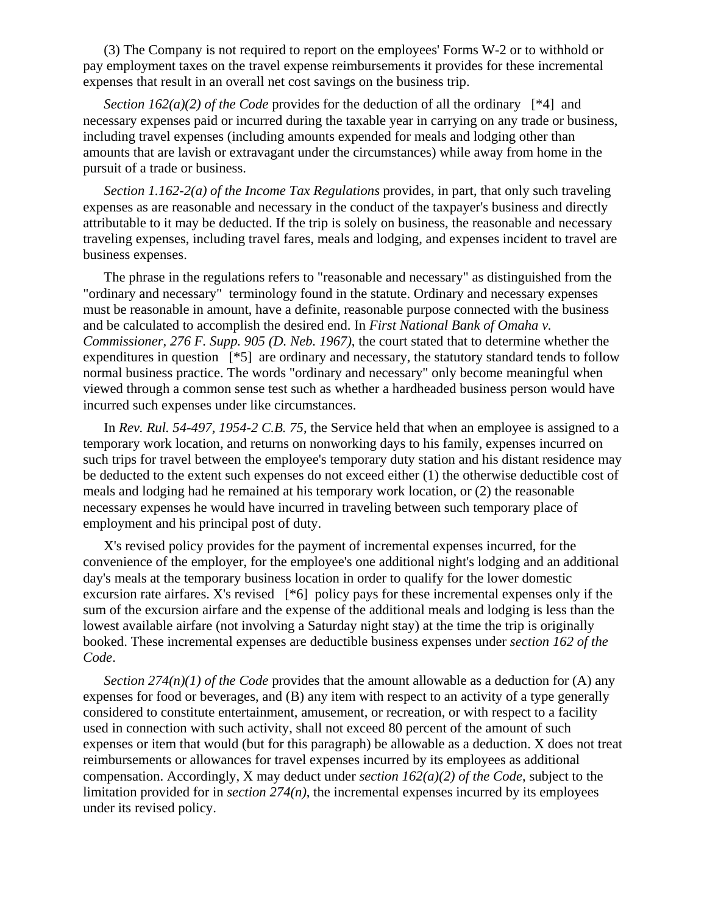(3) The Company is not required to report on the employees' Forms W-2 or to withhold or pay employment taxes on the travel expense reimbursements it provides for these incremental expenses that result in an overall net cost savings on the business trip.

*Section 162(a)(2) of the Code* provides for the deduction of all the ordinary [\*4] and necessary expenses paid or incurred during the taxable year in carrying on any trade or business, including travel expenses (including amounts expended for meals and lodging other than amounts that are lavish or extravagant under the circumstances) while away from home in the pursuit of a trade or business.

*Section 1.162-2(a) of the Income Tax Regulations* provides, in part, that only such traveling expenses as are reasonable and necessary in the conduct of the taxpayer's business and directly attributable to it may be deducted. If the trip is solely on business, the reasonable and necessary traveling expenses, including travel fares, meals and lodging, and expenses incident to travel are business expenses.

The phrase in the regulations refers to "reasonable and necessary" as distinguished from the "ordinary and necessary" terminology found in the statute. Ordinary and necessary expenses must be reasonable in amount, have a definite, reasonable purpose connected with the business and be calculated to accomplish the desired end. In *First National Bank of Omaha v. Commissioner, 276 F. Supp. 905 (D. Neb. 1967)*, the court stated that to determine whether the expenditures in question [\*5] are ordinary and necessary, the statutory standard tends to follow normal business practice. The words "ordinary and necessary" only become meaningful when viewed through a common sense test such as whether a hardheaded business person would have incurred such expenses under like circumstances.

In *Rev. Rul. 54-497, 1954-2 C.B. 75*, the Service held that when an employee is assigned to a temporary work location, and returns on nonworking days to his family, expenses incurred on such trips for travel between the employee's temporary duty station and his distant residence may be deducted to the extent such expenses do not exceed either (1) the otherwise deductible cost of meals and lodging had he remained at his temporary work location, or (2) the reasonable necessary expenses he would have incurred in traveling between such temporary place of employment and his principal post of duty.

X's revised policy provides for the payment of incremental expenses incurred, for the convenience of the employer, for the employee's one additional night's lodging and an additional day's meals at the temporary business location in order to qualify for the lower domestic excursion rate airfares. X's revised [\*6] policy pays for these incremental expenses only if the sum of the excursion airfare and the expense of the additional meals and lodging is less than the lowest available airfare (not involving a Saturday night stay) at the time the trip is originally booked. These incremental expenses are deductible business expenses under *section 162 of the Code*.

*Section 274(n)(1) of the Code* provides that the amount allowable as a deduction for (A) any expenses for food or beverages, and (B) any item with respect to an activity of a type generally considered to constitute entertainment, amusement, or recreation, or with respect to a facility used in connection with such activity, shall not exceed 80 percent of the amount of such expenses or item that would (but for this paragraph) be allowable as a deduction. X does not treat reimbursements or allowances for travel expenses incurred by its employees as additional compensation. Accordingly, X may deduct under *section 162(a)(2) of the Code*, subject to the limitation provided for in *section 274(n)*, the incremental expenses incurred by its employees under its revised policy.